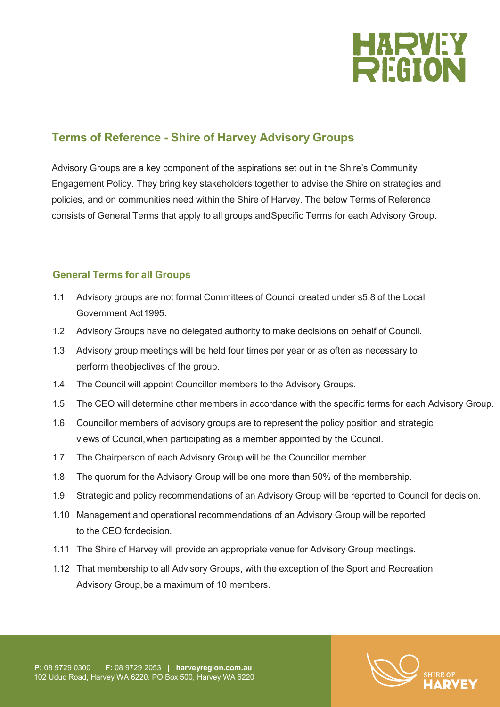

# **Terms of Reference - Shire of Harvey Advisory Groups**

Advisory Groups are a key component of the aspirations set out in the Shire's Community Engagement Policy. They bring key stakeholders together to advise the Shire on strategies and policies, and on communities need within the Shire of Harvey. The below Terms of Reference consists of General Terms that apply to all groups andSpecific Terms for each Advisory Group.

# **General Terms for all Groups**

- 1.1 Advisory groups are not formal Committees of Council created under s5.8 of the Local Government Act1995.
- 1.2 Advisory Groups have no delegated authority to make decisions on behalf of Council.
- 1.3 Advisory group meetings will be held four times per year or as often as necessary to perform theobjectives of the group.
- 1.4 The Council will appoint Councillor members to the Advisory Groups.
- 1.5 The CEO will determine other members in accordance with the specific terms for each Advisory Group.
- 1.6 Councillor members of advisory groups are to represent the policy position and strategic views of Council,when participating as a member appointed by the Council.
- 1.7 The Chairperson of each Advisory Group will be the Councillor member.
- 1.8 The quorum for the Advisory Group will be one more than 50% of the membership.
- 1.9 Strategic and policy recommendations of an Advisory Group will be reported to Council for decision.
- 1.10 Management and operational recommendations of an Advisory Group will be reported to the CEO fordecision.
- 1.11 The Shire of Harvey will provide an appropriate venue for Advisory Group meetings.
- 1.12 That membership to all Advisory Groups, with the exception of the Sport and Recreation Advisory Group,be a maximum of 10 members.

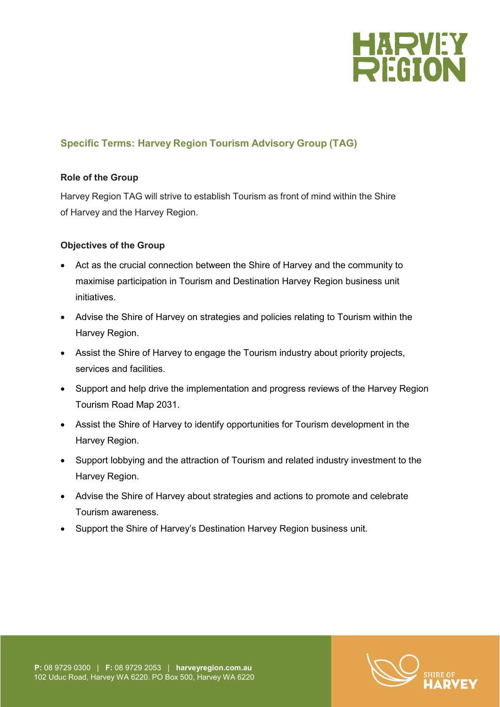

# **Specific Terms: Harvey Region Tourism Advisory Group (TAG)**

# **Role of the Group**

Harvey Region TAG will strive to establish Tourism as front of mind within the Shire of Harvey and the Harvey Region.

# **Objectives of the Group**

- Act as the crucial connection between the Shire of Harvey and the community to maximise participation in Tourism and Destination Harvey Region business unit initiatives.
- Advise the Shire of Harvey on strategies and policies relating to Tourism within the Harvey Region.
- Assist the Shire of Harvey to engage the Tourism industry about priority projects, services and facilities.
- Support and help drive the implementation and progress reviews of the Harvey Region Tourism Road Map 2031.
- Assist the Shire of Harvey to identify opportunities for Tourism development in the Harvey Region.
- Support lobbying and the attraction of Tourism and related industry investment to the Harvey Region.
- Advise the Shire of Harvey about strategies and actions to promote and celebrate Tourism awareness.
- Support the Shire of Harvey's Destination Harvey Region business unit.